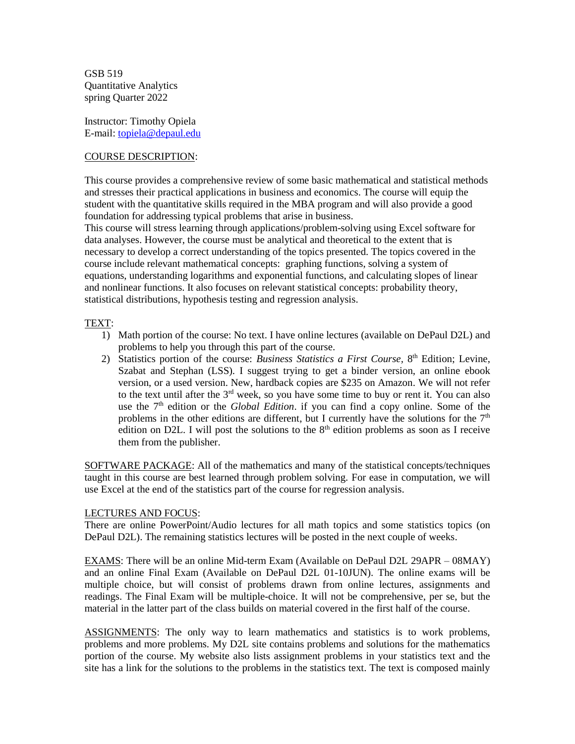GSB 519 Quantitative Analytics spring Quarter 2022

Instructor: Timothy Opiela E-mail[: topiela@depaul.edu](mailto:topiela@depaul.edu)

#### COURSE DESCRIPTION:

This course provides a comprehensive review of some basic mathematical and statistical methods and stresses their practical applications in business and economics. The course will equip the student with the quantitative skills required in the MBA program and will also provide a good foundation for addressing typical problems that arise in business.

This course will stress learning through applications/problem-solving using Excel software for data analyses. However, the course must be analytical and theoretical to the extent that is necessary to develop a correct understanding of the topics presented. The topics covered in the course include relevant mathematical concepts: graphing functions, solving a system of equations, understanding logarithms and exponential functions, and calculating slopes of linear and nonlinear functions. It also focuses on relevant statistical concepts: probability theory, statistical distributions, hypothesis testing and regression analysis.

#### TEXT:

- 1) Math portion of the course: No text. I have online lectures (available on DePaul D2L) and problems to help you through this part of the course.
- 2) Statistics portion of the course: *Business Statistics a First Course,* 8 th Edition; Levine, Szabat and Stephan (LSS). I suggest trying to get a binder version, an online ebook version, or a used version. New, hardback copies are \$235 on Amazon. We will not refer to the text until after the  $3<sup>rd</sup>$  week, so you have some time to buy or rent it. You can also use the 7<sup>th</sup> edition or the *Global Edition*. if you can find a copy online. Some of the problems in the other editions are different, but I currently have the solutions for the  $7<sup>th</sup>$ edition on D2L. I will post the solutions to the  $8<sup>th</sup>$  edition problems as soon as I receive them from the publisher.

SOFTWARE PACKAGE: All of the mathematics and many of the statistical concepts/techniques taught in this course are best learned through problem solving. For ease in computation, we will use Excel at the end of the statistics part of the course for regression analysis.

#### LECTURES AND FOCUS:

There are online PowerPoint/Audio lectures for all math topics and some statistics topics (on DePaul D2L). The remaining statistics lectures will be posted in the next couple of weeks.

EXAMS: There will be an online Mid-term Exam (Available on DePaul D2L 29APR – 08MAY) and an online Final Exam (Available on DePaul D2L 01-10JUN). The online exams will be multiple choice, but will consist of problems drawn from online lectures, assignments and readings. The Final Exam will be multiple-choice. It will not be comprehensive, per se, but the material in the latter part of the class builds on material covered in the first half of the course.

ASSIGNMENTS: The only way to learn mathematics and statistics is to work problems, problems and more problems. My D2L site contains problems and solutions for the mathematics portion of the course. My website also lists assignment problems in your statistics text and the site has a link for the solutions to the problems in the statistics text. The text is composed mainly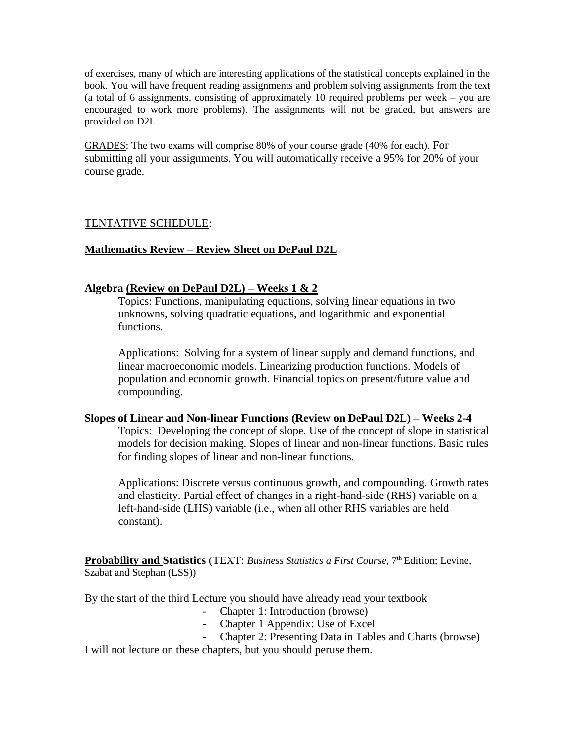of exercises, many of which are interesting applications of the statistical concepts explained in the book. You will have frequent reading assignments and problem solving assignments from the text (a total of 6 assignments, consisting of approximately 10 required problems per week – you are encouraged to work more problems). The assignments will not be graded, but answers are provided on D2L.

GRADES: The two exams will comprise 80% of your course grade (40% for each). For submitting all your assignments, You will automatically receive a 95% for 20% of your course grade.

## TENTATIVE SCHEDULE:

## **Mathematics Review – Review Sheet on DePaul D2L**

## **Algebra (Review on DePaul D2L) – Weeks 1 & 2**

Topics: Functions, manipulating equations, solving linear equations in two unknowns, solving quadratic equations, and logarithmic and exponential functions.

Applications: Solving for a system of linear supply and demand functions, and linear macroeconomic models. Linearizing production functions. Models of population and economic growth. Financial topics on present/future value and compounding.

#### **Slopes of Linear and Non-linear Functions (Review on DePaul D2L) – Weeks 2-4**

Topics: Developing the concept of slope. Use of the concept of slope in statistical models for decision making. Slopes of linear and non-linear functions. Basic rules for finding slopes of linear and non-linear functions.

Applications: Discrete versus continuous growth, and compounding. Growth rates and elasticity. Partial effect of changes in a right-hand-side (RHS) variable on a left-hand-side (LHS) variable (i.e., when all other RHS variables are held constant).

**Probability and Statistics** (TEXT: *Business Statistics a First Course,* 7 th Edition; Levine, Szabat and Stephan (LSS))

By the start of the third Lecture you should have already read your textbook

- Chapter 1: Introduction (browse)
- Chapter 1 Appendix: Use of Excel
- Chapter 2: Presenting Data in Tables and Charts (browse)

I will not lecture on these chapters, but you should peruse them.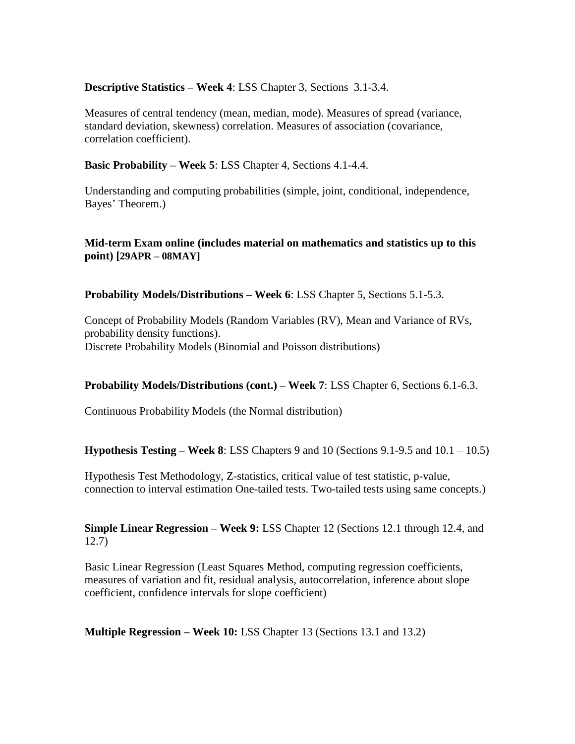# **Descriptive Statistics – Week 4**: LSS Chapter 3, Sections 3.1-3.4.

Measures of central tendency (mean, median, mode). Measures of spread (variance, standard deviation, skewness) correlation. Measures of association (covariance, correlation coefficient).

**Basic Probability – Week 5**: LSS Chapter 4, Sections 4.1-4.4.

Understanding and computing probabilities (simple, joint, conditional, independence, Bayes' Theorem.)

# **Mid-term Exam online (includes material on mathematics and statistics up to this point) [29APR – 08MAY]**

**Probability Models/Distributions – Week 6**: LSS Chapter 5, Sections 5.1-5.3.

Concept of Probability Models (Random Variables (RV), Mean and Variance of RVs, probability density functions). Discrete Probability Models (Binomial and Poisson distributions)

## **Probability Models/Distributions (cont.) – Week 7**: LSS Chapter 6, Sections 6.1-6.3.

Continuous Probability Models (the Normal distribution)

**Hypothesis Testing – Week 8**: LSS Chapters 9 and 10 (Sections 9.1-9.5 and 10.1 – 10.5)

Hypothesis Test Methodology, Z-statistics, critical value of test statistic, p-value, connection to interval estimation One-tailed tests. Two-tailed tests using same concepts.)

# **Simple Linear Regression – Week 9:** LSS Chapter 12 (Sections 12.1 through 12.4, and 12.7)

Basic Linear Regression (Least Squares Method, computing regression coefficients, measures of variation and fit, residual analysis, autocorrelation, inference about slope coefficient, confidence intervals for slope coefficient)

**Multiple Regression – Week 10:** LSS Chapter 13 (Sections 13.1 and 13.2)